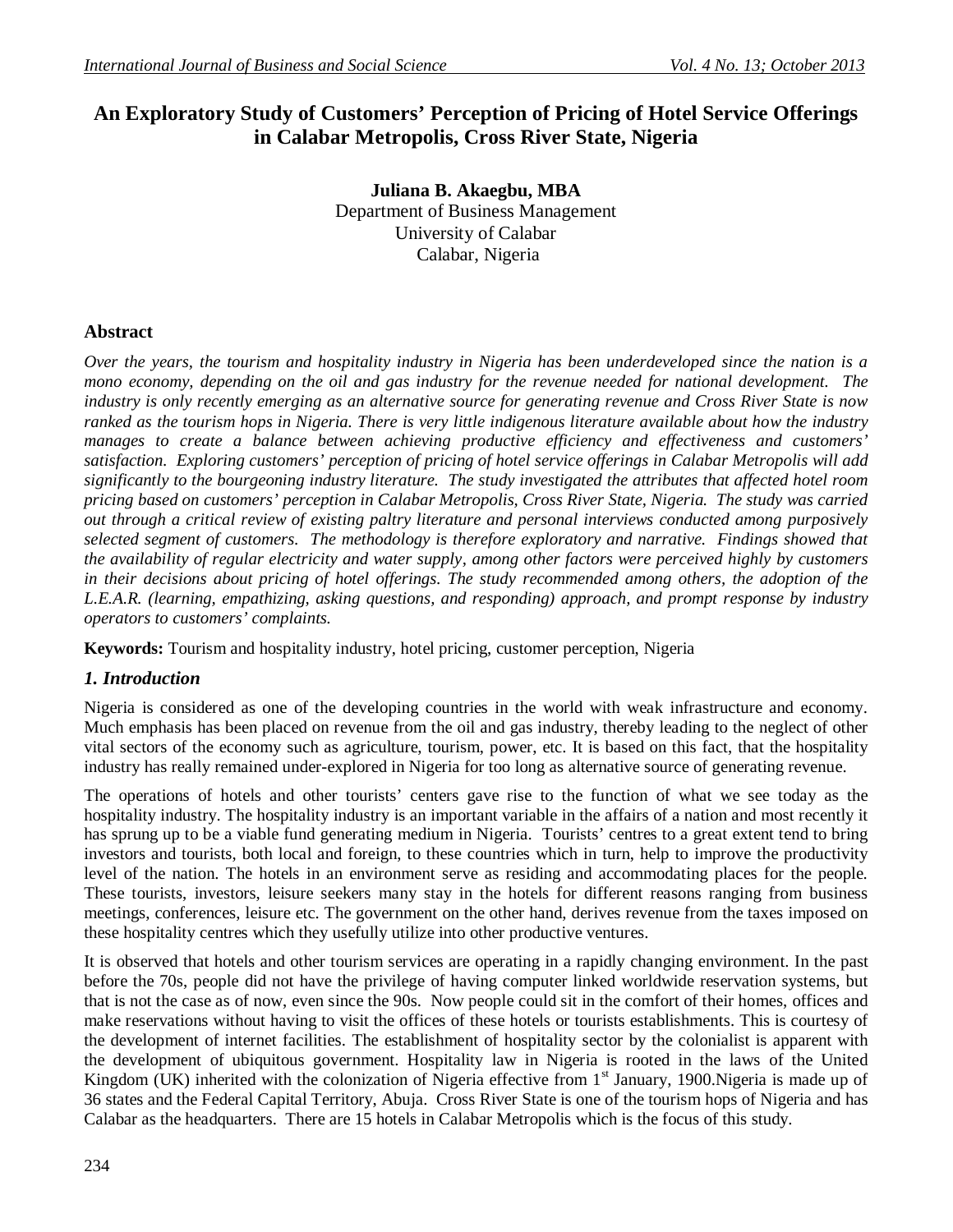# **An Exploratory Study of Customers' Perception of Pricing of Hotel Service Offerings in Calabar Metropolis, Cross River State, Nigeria**

**Juliana B. Akaegbu, MBA** Department of Business Management University of Calabar Calabar, Nigeria

## **Abstract**

*Over the years, the tourism and hospitality industry in Nigeria has been underdeveloped since the nation is a mono economy, depending on the oil and gas industry for the revenue needed for national development. The industry is only recently emerging as an alternative source for generating revenue and Cross River State is now ranked as the tourism hops in Nigeria. There is very little indigenous literature available about how the industry manages to create a balance between achieving productive efficiency and effectiveness and customers' satisfaction. Exploring customers' perception of pricing of hotel service offerings in Calabar Metropolis will add significantly to the bourgeoning industry literature. The study investigated the attributes that affected hotel room pricing based on customers' perception in Calabar Metropolis, Cross River State, Nigeria. The study was carried out through a critical review of existing paltry literature and personal interviews conducted among purposively selected segment of customers. The methodology is therefore exploratory and narrative. Findings showed that the availability of regular electricity and water supply, among other factors were perceived highly by customers*  in their decisions about pricing of hotel offerings. The study recommended among others, the adoption of the *L.E.A.R. (learning, empathizing, asking questions, and responding) approach, and prompt response by industry operators to customers' complaints.*

**Keywords:** Tourism and hospitality industry, hotel pricing, customer perception, Nigeria

## *1. Introduction*

Nigeria is considered as one of the developing countries in the world with weak infrastructure and economy. Much emphasis has been placed on revenue from the oil and gas industry, thereby leading to the neglect of other vital sectors of the economy such as agriculture, tourism, power, etc. It is based on this fact, that the hospitality industry has really remained under-explored in Nigeria for too long as alternative source of generating revenue.

The operations of hotels and other tourists' centers gave rise to the function of what we see today as the hospitality industry. The hospitality industry is an important variable in the affairs of a nation and most recently it has sprung up to be a viable fund generating medium in Nigeria. Tourists' centres to a great extent tend to bring investors and tourists, both local and foreign, to these countries which in turn, help to improve the productivity level of the nation. The hotels in an environment serve as residing and accommodating places for the people. These tourists, investors, leisure seekers many stay in the hotels for different reasons ranging from business meetings, conferences, leisure etc. The government on the other hand, derives revenue from the taxes imposed on these hospitality centres which they usefully utilize into other productive ventures.

It is observed that hotels and other tourism services are operating in a rapidly changing environment. In the past before the 70s, people did not have the privilege of having computer linked worldwide reservation systems, but that is not the case as of now, even since the 90s. Now people could sit in the comfort of their homes, offices and make reservations without having to visit the offices of these hotels or tourists establishments. This is courtesy of the development of internet facilities. The establishment of hospitality sector by the colonialist is apparent with the development of ubiquitous government. Hospitality law in Nigeria is rooted in the laws of the United Kingdom (UK) inherited with the colonization of Nigeria effective from 1<sup>st</sup> January, 1900. Nigeria is made up of 36 states and the Federal Capital Territory, Abuja. Cross River State is one of the tourism hops of Nigeria and has Calabar as the headquarters. There are 15 hotels in Calabar Metropolis which is the focus of this study.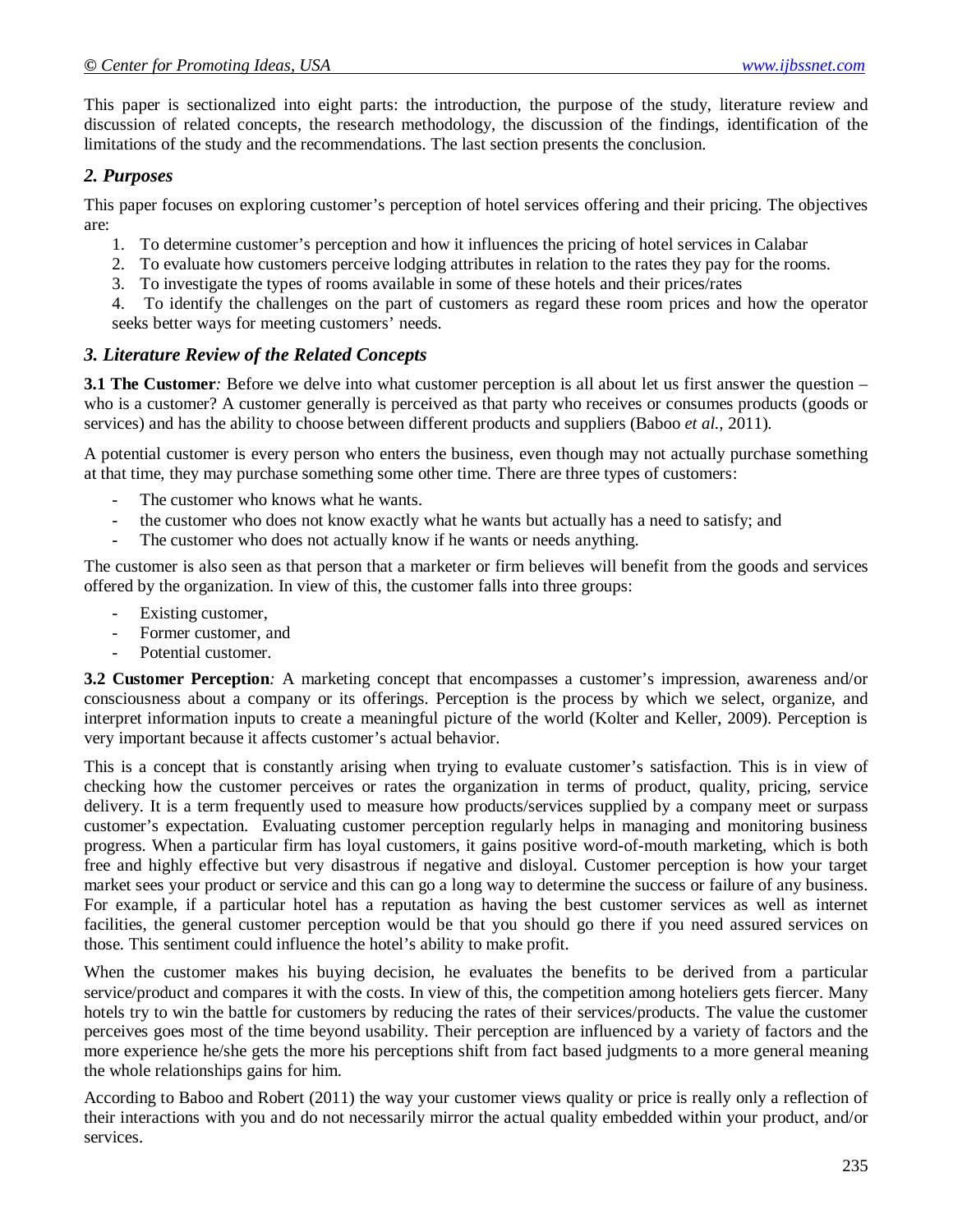This paper is sectionalized into eight parts: the introduction, the purpose of the study, literature review and discussion of related concepts, the research methodology, the discussion of the findings, identification of the limitations of the study and the recommendations. The last section presents the conclusion.

## *2. Purposes*

This paper focuses on exploring customer's perception of hotel services offering and their pricing. The objectives are:

- 1. To determine customer's perception and how it influences the pricing of hotel services in Calabar
- 2. To evaluate how customers perceive lodging attributes in relation to the rates they pay for the rooms.
- 3. To investigate the types of rooms available in some of these hotels and their prices/rates
- 4. To identify the challenges on the part of customers as regard these room prices and how the operator seeks better ways for meeting customers' needs.

### *3. Literature Review of the Related Concepts*

**3.1 The Customer**: Before we delve into what customer perception is all about let us first answer the question – who is a customer? A customer generally is perceived as that party who receives or consumes products (goods or services) and has the ability to choose between different products and suppliers (Baboo *et al.,* 2011).

A potential customer is every person who enters the business, even though may not actually purchase something at that time, they may purchase something some other time. There are three types of customers:

- The customer who knows what he wants.
- the customer who does not know exactly what he wants but actually has a need to satisfy; and
- The customer who does not actually know if he wants or needs anything.

The customer is also seen as that person that a marketer or firm believes will benefit from the goods and services offered by the organization. In view of this, the customer falls into three groups:

- Existing customer,
- Former customer, and
- Potential customer.

**3.2 Customer Perception***:* A marketing concept that encompasses a customer's impression, awareness and/or consciousness about a company or its offerings. Perception is the process by which we select, organize, and interpret information inputs to create a meaningful picture of the world (Kolter and Keller, 2009). Perception is very important because it affects customer's actual behavior.

This is a concept that is constantly arising when trying to evaluate customer's satisfaction. This is in view of checking how the customer perceives or rates the organization in terms of product, quality, pricing, service delivery. It is a term frequently used to measure how products/services supplied by a company meet or surpass customer's expectation. Evaluating customer perception regularly helps in managing and monitoring business progress. When a particular firm has loyal customers, it gains positive word-of-mouth marketing, which is both free and highly effective but very disastrous if negative and disloyal. Customer perception is how your target market sees your product or service and this can go a long way to determine the success or failure of any business. For example, if a particular hotel has a reputation as having the best customer services as well as internet facilities, the general customer perception would be that you should go there if you need assured services on those. This sentiment could influence the hotel's ability to make profit.

When the customer makes his buying decision, he evaluates the benefits to be derived from a particular service/product and compares it with the costs. In view of this, the competition among hoteliers gets fiercer. Many hotels try to win the battle for customers by reducing the rates of their services/products. The value the customer perceives goes most of the time beyond usability. Their perception are influenced by a variety of factors and the more experience he/she gets the more his perceptions shift from fact based judgments to a more general meaning the whole relationships gains for him.

According to Baboo and Robert (2011) the way your customer views quality or price is really only a reflection of their interactions with you and do not necessarily mirror the actual quality embedded within your product, and/or services.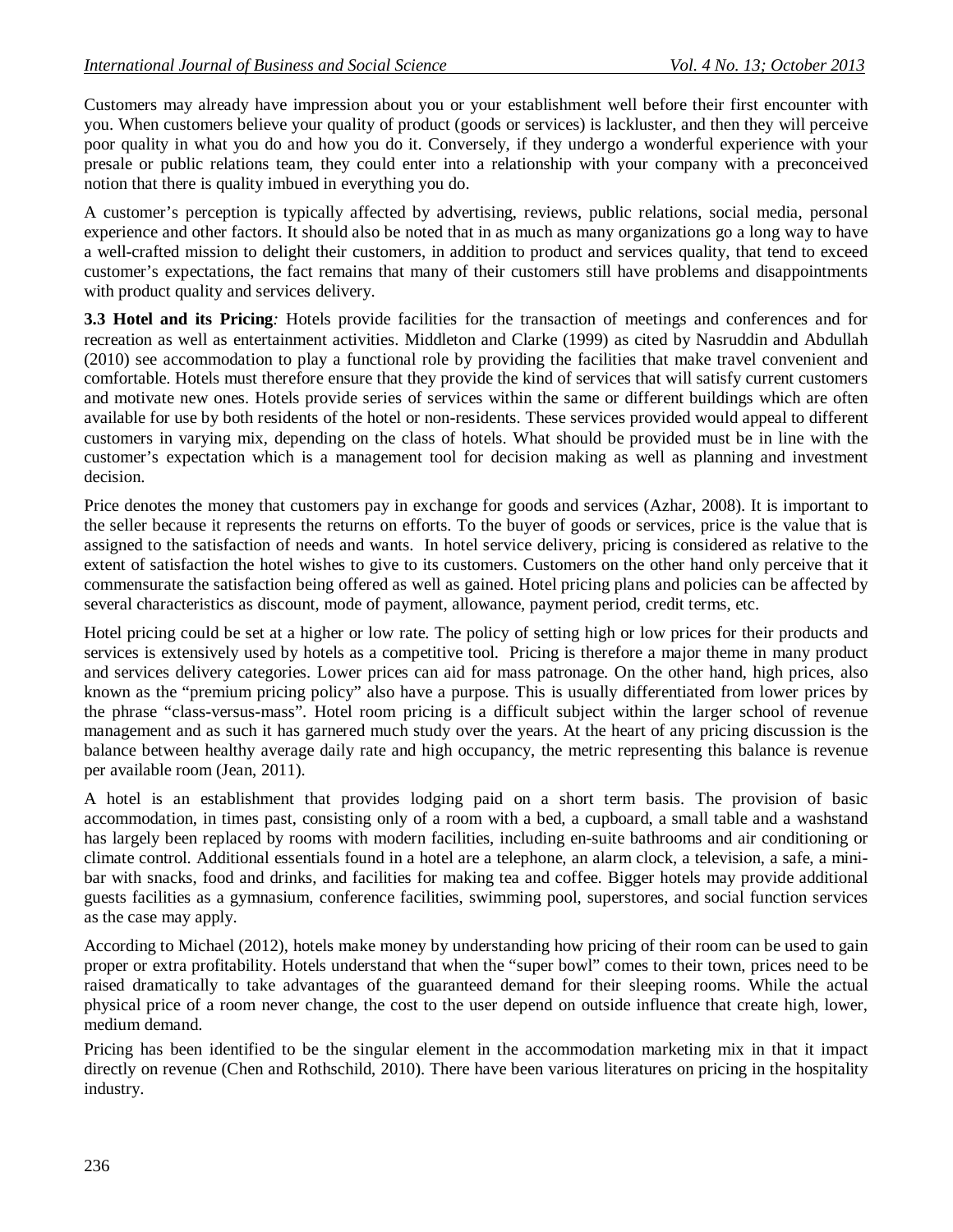Customers may already have impression about you or your establishment well before their first encounter with you. When customers believe your quality of product (goods or services) is lackluster, and then they will perceive poor quality in what you do and how you do it. Conversely, if they undergo a wonderful experience with your presale or public relations team, they could enter into a relationship with your company with a preconceived notion that there is quality imbued in everything you do.

A customer's perception is typically affected by advertising, reviews, public relations, social media, personal experience and other factors. It should also be noted that in as much as many organizations go a long way to have a well-crafted mission to delight their customers, in addition to product and services quality, that tend to exceed customer's expectations, the fact remains that many of their customers still have problems and disappointments with product quality and services delivery.

**3.3 Hotel and its Pricing***:* Hotels provide facilities for the transaction of meetings and conferences and for recreation as well as entertainment activities. Middleton and Clarke (1999) as cited by Nasruddin and Abdullah (2010) see accommodation to play a functional role by providing the facilities that make travel convenient and comfortable. Hotels must therefore ensure that they provide the kind of services that will satisfy current customers and motivate new ones. Hotels provide series of services within the same or different buildings which are often available for use by both residents of the hotel or non-residents. These services provided would appeal to different customers in varying mix, depending on the class of hotels. What should be provided must be in line with the customer's expectation which is a management tool for decision making as well as planning and investment decision.

Price denotes the money that customers pay in exchange for goods and services (Azhar, 2008). It is important to the seller because it represents the returns on efforts. To the buyer of goods or services, price is the value that is assigned to the satisfaction of needs and wants. In hotel service delivery, pricing is considered as relative to the extent of satisfaction the hotel wishes to give to its customers. Customers on the other hand only perceive that it commensurate the satisfaction being offered as well as gained. Hotel pricing plans and policies can be affected by several characteristics as discount, mode of payment, allowance, payment period, credit terms, etc.

Hotel pricing could be set at a higher or low rate. The policy of setting high or low prices for their products and services is extensively used by hotels as a competitive tool. Pricing is therefore a major theme in many product and services delivery categories. Lower prices can aid for mass patronage. On the other hand, high prices, also known as the "premium pricing policy" also have a purpose. This is usually differentiated from lower prices by the phrase "class-versus-mass". Hotel room pricing is a difficult subject within the larger school of revenue management and as such it has garnered much study over the years. At the heart of any pricing discussion is the balance between healthy average daily rate and high occupancy, the metric representing this balance is revenue per available room (Jean, 2011).

A hotel is an establishment that provides lodging paid on a short term basis. The provision of basic accommodation, in times past, consisting only of a room with a bed, a cupboard, a small table and a washstand has largely been replaced by rooms with modern facilities, including en-suite bathrooms and air conditioning or climate control. Additional essentials found in a hotel are a telephone, an alarm clock, a television, a safe, a minibar with snacks, food and drinks, and facilities for making tea and coffee. Bigger hotels may provide additional guests facilities as a gymnasium, conference facilities, swimming pool, superstores, and social function services as the case may apply.

According to Michael (2012), hotels make money by understanding how pricing of their room can be used to gain proper or extra profitability. Hotels understand that when the "super bowl" comes to their town, prices need to be raised dramatically to take advantages of the guaranteed demand for their sleeping rooms. While the actual physical price of a room never change, the cost to the user depend on outside influence that create high, lower, medium demand.

Pricing has been identified to be the singular element in the accommodation marketing mix in that it impact directly on revenue (Chen and Rothschild, 2010). There have been various literatures on pricing in the hospitality industry.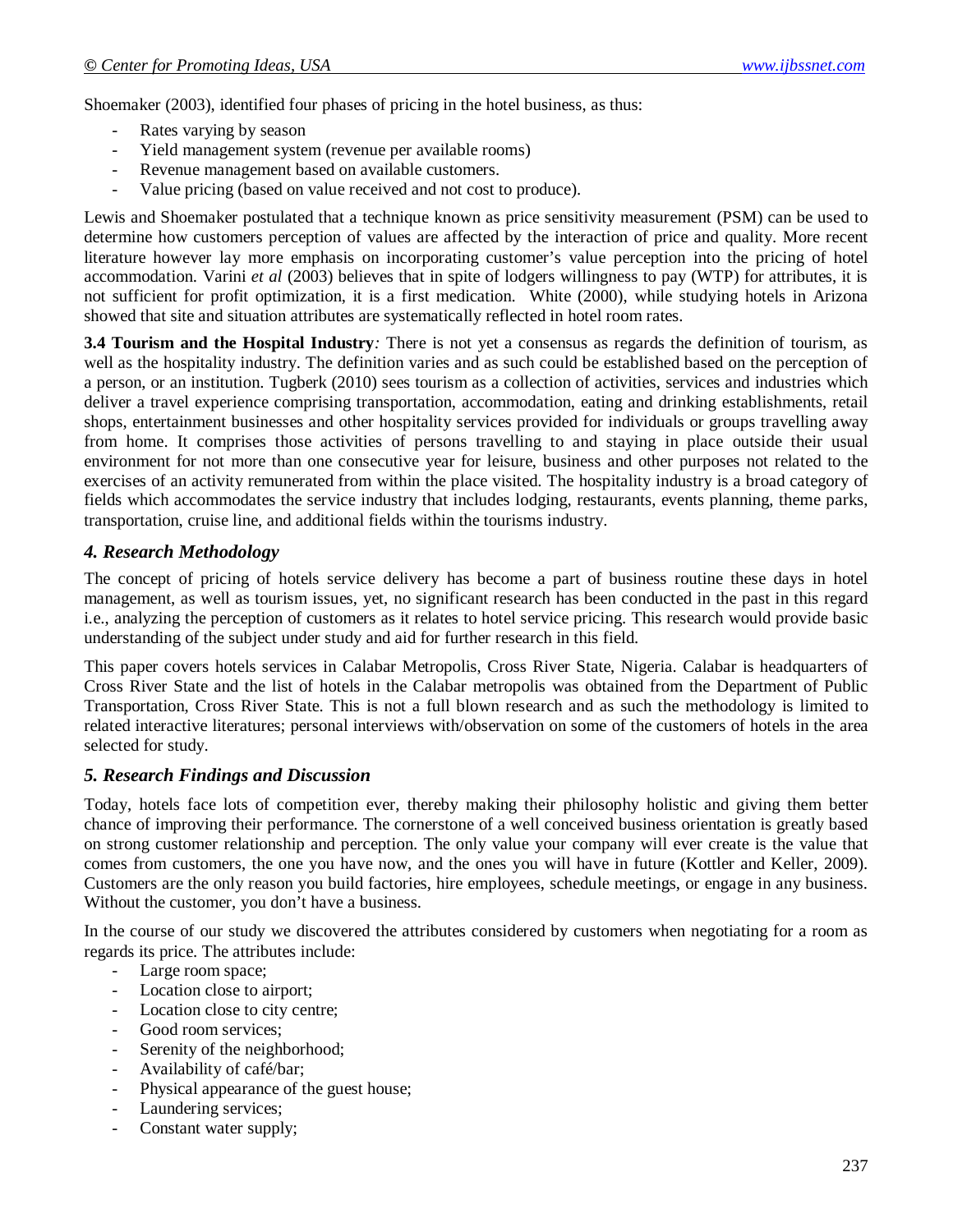Shoemaker (2003), identified four phases of pricing in the hotel business, as thus:

- Rates varying by season
- Yield management system (revenue per available rooms)
- Revenue management based on available customers.
- Value pricing (based on value received and not cost to produce).

Lewis and Shoemaker postulated that a technique known as price sensitivity measurement (PSM) can be used to determine how customers perception of values are affected by the interaction of price and quality. More recent literature however lay more emphasis on incorporating customer's value perception into the pricing of hotel accommodation. Varini *et al* (2003) believes that in spite of lodgers willingness to pay (WTP) for attributes, it is not sufficient for profit optimization, it is a first medication. White (2000), while studying hotels in Arizona showed that site and situation attributes are systematically reflected in hotel room rates.

**3.4 Tourism and the Hospital Industry***:* There is not yet a consensus as regards the definition of tourism, as well as the hospitality industry. The definition varies and as such could be established based on the perception of a person, or an institution. Tugberk (2010) sees tourism as a collection of activities, services and industries which deliver a travel experience comprising transportation, accommodation, eating and drinking establishments, retail shops, entertainment businesses and other hospitality services provided for individuals or groups travelling away from home. It comprises those activities of persons travelling to and staying in place outside their usual environment for not more than one consecutive year for leisure, business and other purposes not related to the exercises of an activity remunerated from within the place visited. The hospitality industry is a broad category of fields which accommodates the service industry that includes lodging, restaurants, events planning, theme parks, transportation, cruise line, and additional fields within the tourisms industry.

### *4. Research Methodology*

The concept of pricing of hotels service delivery has become a part of business routine these days in hotel management, as well as tourism issues, yet, no significant research has been conducted in the past in this regard i.e., analyzing the perception of customers as it relates to hotel service pricing. This research would provide basic understanding of the subject under study and aid for further research in this field.

This paper covers hotels services in Calabar Metropolis, Cross River State, Nigeria. Calabar is headquarters of Cross River State and the list of hotels in the Calabar metropolis was obtained from the Department of Public Transportation, Cross River State. This is not a full blown research and as such the methodology is limited to related interactive literatures; personal interviews with/observation on some of the customers of hotels in the area selected for study.

#### *5. Research Findings and Discussion*

Today, hotels face lots of competition ever, thereby making their philosophy holistic and giving them better chance of improving their performance. The cornerstone of a well conceived business orientation is greatly based on strong customer relationship and perception. The only value your company will ever create is the value that comes from customers, the one you have now, and the ones you will have in future (Kottler and Keller, 2009). Customers are the only reason you build factories, hire employees, schedule meetings, or engage in any business. Without the customer, you don't have a business.

In the course of our study we discovered the attributes considered by customers when negotiating for a room as regards its price. The attributes include:

- Large room space;
- Location close to airport;
- Location close to city centre;
- Good room services;
- Serenity of the neighborhood;
- Availability of café/bar;
- Physical appearance of the guest house;
- Laundering services;
- Constant water supply;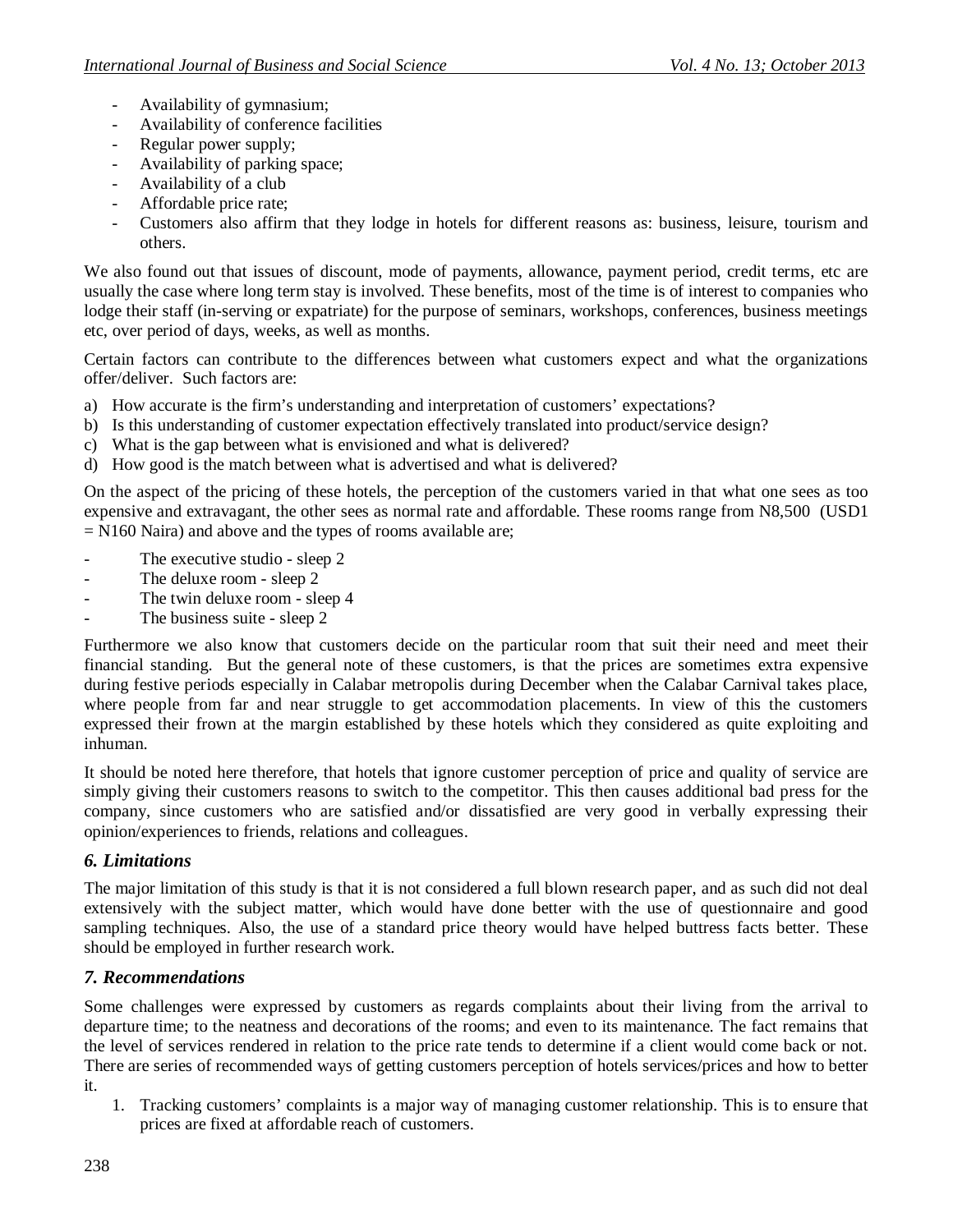- Availability of gymnasium;
- Availability of conference facilities
- Regular power supply;
- Availability of parking space;
- Availability of a club
- Affordable price rate;
- Customers also affirm that they lodge in hotels for different reasons as: business, leisure, tourism and others.

We also found out that issues of discount, mode of payments, allowance, payment period, credit terms, etc are usually the case where long term stay is involved. These benefits, most of the time is of interest to companies who lodge their staff (in-serving or expatriate) for the purpose of seminars, workshops, conferences, business meetings etc, over period of days, weeks, as well as months.

Certain factors can contribute to the differences between what customers expect and what the organizations offer/deliver. Such factors are:

- a) How accurate is the firm's understanding and interpretation of customers' expectations?
- b) Is this understanding of customer expectation effectively translated into product/service design?
- c) What is the gap between what is envisioned and what is delivered?
- d) How good is the match between what is advertised and what is delivered?

On the aspect of the pricing of these hotels, the perception of the customers varied in that what one sees as too expensive and extravagant, the other sees as normal rate and affordable. These rooms range from N8,500 (USD1  $= N160$  Naira) and above and the types of rooms available are;

- The executive studio sleep 2
- The deluxe room sleep 2
- The twin deluxe room sleep 4
- The business suite sleep 2

Furthermore we also know that customers decide on the particular room that suit their need and meet their financial standing. But the general note of these customers, is that the prices are sometimes extra expensive during festive periods especially in Calabar metropolis during December when the Calabar Carnival takes place, where people from far and near struggle to get accommodation placements. In view of this the customers expressed their frown at the margin established by these hotels which they considered as quite exploiting and inhuman.

It should be noted here therefore, that hotels that ignore customer perception of price and quality of service are simply giving their customers reasons to switch to the competitor. This then causes additional bad press for the company, since customers who are satisfied and/or dissatisfied are very good in verbally expressing their opinion/experiences to friends, relations and colleagues.

## *6. Limitations*

The major limitation of this study is that it is not considered a full blown research paper, and as such did not deal extensively with the subject matter, which would have done better with the use of questionnaire and good sampling techniques. Also, the use of a standard price theory would have helped buttress facts better. These should be employed in further research work.

## *7. Recommendations*

Some challenges were expressed by customers as regards complaints about their living from the arrival to departure time; to the neatness and decorations of the rooms; and even to its maintenance. The fact remains that the level of services rendered in relation to the price rate tends to determine if a client would come back or not. There are series of recommended ways of getting customers perception of hotels services/prices and how to better it.

1. Tracking customers' complaints is a major way of managing customer relationship. This is to ensure that prices are fixed at affordable reach of customers.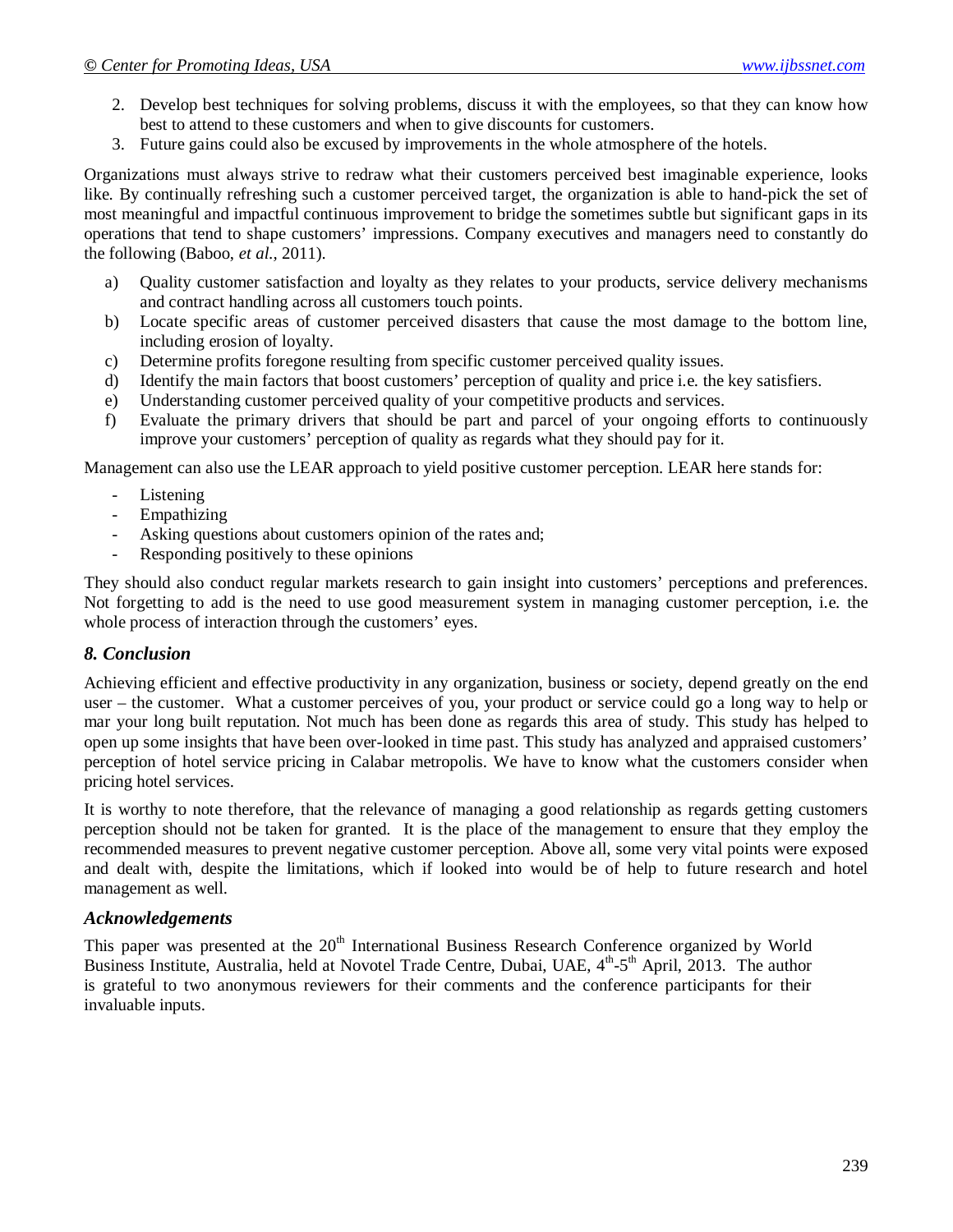- 2. Develop best techniques for solving problems, discuss it with the employees, so that they can know how best to attend to these customers and when to give discounts for customers.
- 3. Future gains could also be excused by improvements in the whole atmosphere of the hotels.

Organizations must always strive to redraw what their customers perceived best imaginable experience, looks like. By continually refreshing such a customer perceived target, the organization is able to hand-pick the set of most meaningful and impactful continuous improvement to bridge the sometimes subtle but significant gaps in its operations that tend to shape customers' impressions. Company executives and managers need to constantly do the following (Baboo, *et al.,* 2011).

- a) Quality customer satisfaction and loyalty as they relates to your products, service delivery mechanisms and contract handling across all customers touch points.
- b) Locate specific areas of customer perceived disasters that cause the most damage to the bottom line, including erosion of loyalty.
- c) Determine profits foregone resulting from specific customer perceived quality issues.
- d) Identify the main factors that boost customers' perception of quality and price i.e. the key satisfiers.
- e) Understanding customer perceived quality of your competitive products and services.
- f) Evaluate the primary drivers that should be part and parcel of your ongoing efforts to continuously improve your customers' perception of quality as regards what they should pay for it.

Management can also use the LEAR approach to yield positive customer perception. LEAR here stands for:

- Listening
- **Empathizing**
- Asking questions about customers opinion of the rates and;
- Responding positively to these opinions

They should also conduct regular markets research to gain insight into customers' perceptions and preferences. Not forgetting to add is the need to use good measurement system in managing customer perception, i.e. the whole process of interaction through the customers' eyes.

#### *8. Conclusion*

Achieving efficient and effective productivity in any organization, business or society, depend greatly on the end user – the customer. What a customer perceives of you, your product or service could go a long way to help or mar your long built reputation. Not much has been done as regards this area of study. This study has helped to open up some insights that have been over-looked in time past. This study has analyzed and appraised customers' perception of hotel service pricing in Calabar metropolis. We have to know what the customers consider when pricing hotel services.

It is worthy to note therefore, that the relevance of managing a good relationship as regards getting customers perception should not be taken for granted. It is the place of the management to ensure that they employ the recommended measures to prevent negative customer perception. Above all, some very vital points were exposed and dealt with, despite the limitations, which if looked into would be of help to future research and hotel management as well.

#### *Acknowledgements*

This paper was presented at the 20<sup>th</sup> International Business Research Conference organized by World Business Institute, Australia, held at Novotel Trade Centre, Dubai, UAE, 4<sup>th</sup>-5<sup>th</sup> April, 2013. The author is grateful to two anonymous reviewers for their comments and the conference participants for their invaluable inputs.